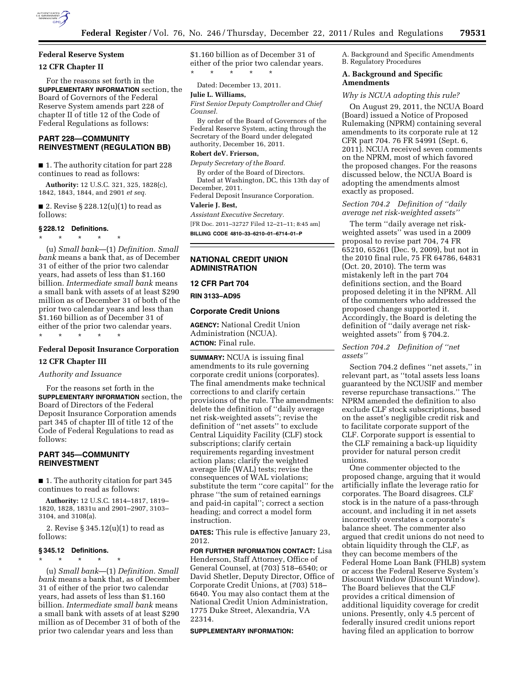

# **Federal Reserve System**

## **12 CFR Chapter II**

For the reasons set forth in the **SUPPLEMENTARY INFORMATION** section, the Board of Governors of the Federal Reserve System amends part 228 of chapter II of title 12 of the Code of Federal Regulations as follows:

# **PART 228—COMMUNITY REINVESTMENT (REGULATION BB)**

■ 1. The authority citation for part 228 continues to read as follows:

**Authority:** 12 U.S.C. 321, 325, 1828(c), 1842, 1843, 1844, and 2901 *et seq.* 

■ 2. Revise § 228.12(u)(1) to read as follows:

### **§ 228.12 Definitions.**

\* \* \* \* \*

(u) *Small bank*—(1) *Definition. Small bank* means a bank that, as of December 31 of either of the prior two calendar years, had assets of less than \$1.160 billion. *Intermediate small bank* means a small bank with assets of at least \$290 million as of December 31 of both of the prior two calendar years and less than \$1.160 billion as of December 31 of either of the prior two calendar years. \* \* \* \* \*

## **Federal Deposit Insurance Corporation**

## **12 CFR Chapter III**

### *Authority and Issuance*

For the reasons set forth in the **SUPPLEMENTARY INFORMATION** section, the Board of Directors of the Federal Deposit Insurance Corporation amends part 345 of chapter III of title 12 of the Code of Federal Regulations to read as follows:

## **PART 345—COMMUNITY REINVESTMENT**

■ 1. The authority citation for part 345 continues to read as follows:

**Authority:** 12 U.S.C. 1814–1817, 1819– 1820, 1828, 1831u and 2901–2907, 3103– 3104, and 3108(a).

2. Revise § 345.12(u)(1) to read as follows:

### **§ 345.12 Definitions.**  \* \* \* \* \*

(u) *Small bank*—(1) *Definition. Small bank* means a bank that, as of December 31 of either of the prior two calendar years, had assets of less than \$1.160 billion. *Intermediate small bank* means a small bank with assets of at least \$290 million as of December 31 of both of the prior two calendar years and less than

\$1.160 billion as of December 31 of either of the prior two calendar years. \* \* \* \* \*

Dated: December 13, 2011.

## **Julie L. Williams,**

*First Senior Deputy Comptroller and Chief Counsel.* 

By order of the Board of Governors of the Federal Reserve System, acting through the Secretary of the Board under delegated authority, December 16, 2011.

### **Robert deV. Frierson,**

*Deputy Secretary of the Board.* 

By order of the Board of Directors. Dated at Washington, DC, this 13th day of December, 2011.

Federal Deposit Insurance Corporation.

## **Valerie J. Best,**

*Assistant Executive Secretary.* 

[FR Doc. 2011–32727 Filed 12–21–11; 8:45 am]

**BILLING CODE 4810–33–6210–01–6714–01–P** 

## **NATIONAL CREDIT UNION ADMINISTRATION**

### **12 CFR Part 704**

**RIN 3133–AD95** 

### **Corporate Credit Unions**

**AGENCY:** National Credit Union Administration (NCUA). **ACTION:** Final rule.

**SUMMARY:** NCUA is issuing final amendments to its rule governing corporate credit unions (corporates). The final amendments make technical corrections to and clarify certain provisions of the rule. The amendments: delete the definition of ''daily average net risk-weighted assets''; revise the definition of ''net assets'' to exclude Central Liquidity Facility (CLF) stock subscriptions; clarify certain requirements regarding investment action plans; clarify the weighted average life (WAL) tests; revise the consequences of WAL violations; substitute the term ''core capital'' for the phrase ''the sum of retained earnings and paid-in capital''; correct a section heading; and correct a model form instruction.

**DATES:** This rule is effective January 23, 2012.

**FOR FURTHER INFORMATION CONTACT:** Lisa Henderson, Staff Attorney, Office of General Counsel, at (703) 518–6540; or David Shetler, Deputy Director, Office of Corporate Credit Unions, at (703) 518– 6640. You may also contact them at the National Credit Union Administration, 1775 Duke Street, Alexandria, VA 22314.

#### **SUPPLEMENTARY INFORMATION:**

A. Background and Specific Amendments B. Regulatory Procedures

## **A. Background and Specific Amendments**

### *Why is NCUA adopting this rule?*

On August 29, 2011, the NCUA Board (Board) issued a Notice of Proposed Rulemaking (NPRM) containing several amendments to its corporate rule at 12 CFR part 704. 76 FR 54991 (Sept. 6, 2011). NCUA received seven comments on the NPRM, most of which favored the proposed changes. For the reasons discussed below, the NCUA Board is adopting the amendments almost exactly as proposed.

## *Section 704.2 Definition of ''daily average net risk-weighted assets''*

The term ''daily average net riskweighted assets'' was used in a 2009 proposal to revise part 704, 74 FR 65210, 65261 (Dec. 9, 2009), but not in the 2010 final rule, 75 FR 64786, 64831 (Oct. 20, 2010). The term was mistakenly left in the part 704 definitions section, and the Board proposed deleting it in the NPRM. All of the commenters who addressed the proposed change supported it. Accordingly, the Board is deleting the definition of ''daily average net riskweighted assets'' from § 704.2.

### *Section 704.2 Definition of ''net assets''*

Section 704.2 defines ''net assets,'' in relevant part, as ''total assets less loans guaranteed by the NCUSIF and member reverse repurchase transactions.'' The NPRM amended the definition to also exclude CLF stock subscriptions, based on the asset's negligible credit risk and to facilitate corporate support of the CLF. Corporate support is essential to the CLF remaining a back-up liquidity provider for natural person credit unions.

One commenter objected to the proposed change, arguing that it would artificially inflate the leverage ratio for corporates. The Board disagrees. CLF stock is in the nature of a pass-through account, and including it in net assets incorrectly overstates a corporate's balance sheet. The commenter also argued that credit unions do not need to obtain liquidity through the CLF, as they can become members of the Federal Home Loan Bank (FHLB) system or access the Federal Reserve System's Discount Window (Discount Window). The Board believes that the CLF provides a critical dimension of additional liquidity coverage for credit unions. Presently, only 4.5 percent of federally insured credit unions report having filed an application to borrow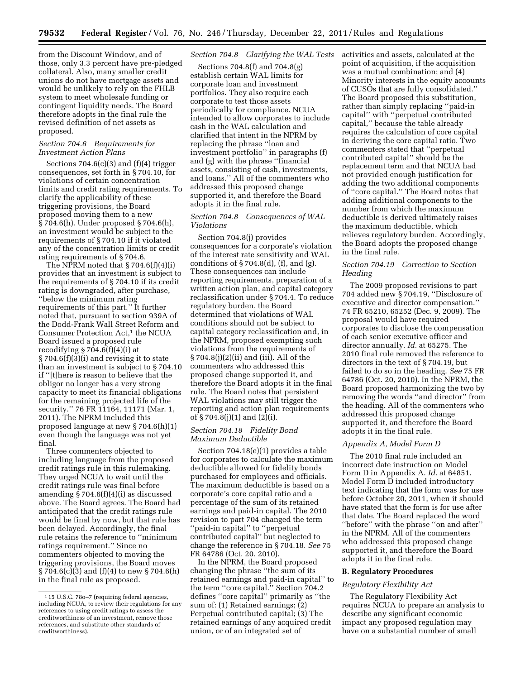from the Discount Window, and of those, only 3.3 percent have pre-pledged collateral. Also, many smaller credit unions do not have mortgage assets and would be unlikely to rely on the FHLB system to meet wholesale funding or contingent liquidity needs. The Board therefore adopts in the final rule the revised definition of net assets as proposed.

### *Section 704.6 Requirements for Investment Action Plans*

Sections  $704.6(c)(3)$  and  $(f)(4)$  trigger consequences, set forth in § 704.10, for violations of certain concentration limits and credit rating requirements. To clarify the applicability of these triggering provisions, the Board proposed moving them to a new § 704.6(h). Under proposed § 704.6(h), an investment would be subject to the requirements of § 704.10 if it violated any of the concentration limits or credit rating requirements of § 704.6.

The NPRM noted that  $\S 704.6(f)(4)(i)$ provides that an investment is subject to the requirements of § 704.10 if its credit rating is downgraded, after purchase, ''below the minimum rating requirements of this part.'' It further noted that, pursuant to section 939A of the Dodd-Frank Wall Street Reform and Consumer Protection Act,<sup>1</sup> the NCUA Board issued a proposed rule recodifying  $\S 704.6(f)(4)(i)$  at § 704.6(f)(3)(i) and revising it to state than an investment is subject to § 704.10 if ''[t]here is reason to believe that the obligor no longer has a very strong capacity to meet its financial obligations for the remaining projected life of the security.'' 76 FR 11164, 11171 (Mar. 1, 2011). The NPRM included this proposed language at new § 704.6(h)(1) even though the language was not yet final.

Three commenters objected to including language from the proposed credit ratings rule in this rulemaking. They urged NCUA to wait until the credit ratings rule was final before amending § 704.6(f)(4)(i) as discussed above. The Board agrees. The Board had anticipated that the credit ratings rule would be final by now, but that rule has been delayed. Accordingly, the final rule retains the reference to ''minimum ratings requirement.'' Since no commenters objected to moving the triggering provisions, the Board moves  $\S 704.6(c)(3)$  and (f)(4) to new  $\S 704.6(h)$ in the final rule as proposed.

## *Section 704.8 Clarifying the WAL Tests*

Sections 704.8(f) and 704.8(g) establish certain WAL limits for corporate loan and investment portfolios. They also require each corporate to test those assets periodically for compliance. NCUA intended to allow corporates to include cash in the WAL calculation and clarified that intent in the NPRM by replacing the phrase ''loan and investment portfolio'' in paragraphs (f) and (g) with the phrase ''financial assets, consisting of cash, investments, and loans.'' All of the commenters who addressed this proposed change supported it, and therefore the Board adopts it in the final rule.

## *Section 704.8 Consequences of WAL Violations*

Section 704.8(j) provides consequences for a corporate's violation of the interest rate sensitivity and WAL conditions of  $\S 704.8(d)$ , (f), and (g). These consequences can include reporting requirements, preparation of a written action plan, and capital category reclassification under § 704.4. To reduce regulatory burden, the Board determined that violations of WAL conditions should not be subject to capital category reclassification and, in the NPRM, proposed exempting such violations from the requirements of § 704.8(j)(2)(ii) and (iii). All of the commenters who addressed this proposed change supported it, and therefore the Board adopts it in the final rule. The Board notes that persistent WAL violations may still trigger the reporting and action plan requirements of § 704.8(j)(1) and (2)(i).

### *Section 704.18 Fidelity Bond Maximum Deductible*

Section 704.18(e)(1) provides a table for corporates to calculate the maximum deductible allowed for fidelity bonds purchased for employees and officials. The maximum deductible is based on a corporate's core capital ratio and a percentage of the sum of its retained earnings and paid-in capital. The 2010 revision to part 704 changed the term ''paid-in capital'' to ''perpetual contributed capital'' but neglected to change the reference in § 704.18. *See* 75 FR 64786 (Oct. 20, 2010).

In the NPRM, the Board proposed changing the phrase ''the sum of its retained earnings and paid-in capital'' to the term ''core capital.'' Section 704.2 defines ''core capital'' primarily as ''the sum of: (1) Retained earnings; (2) Perpetual contributed capital; (3) The retained earnings of any acquired credit union, or of an integrated set of

activities and assets, calculated at the point of acquisition, if the acquisition was a mutual combination; and (4) Minority interests in the equity accounts of CUSOs that are fully consolidated.'' The Board proposed this substitution, rather than simply replacing ''paid-in capital'' with ''perpetual contributed capital,'' because the table already requires the calculation of core capital in deriving the core capital ratio. Two commenters stated that ''perpetual contributed capital'' should be the replacement term and that NCUA had not provided enough justification for adding the two additional components of ''core capital.'' The Board notes that adding additional components to the number from which the maximum deductible is derived ultimately raises the maximum deductible, which relieves regulatory burden. Accordingly, the Board adopts the proposed change in the final rule.

## *Section 704.19 Correction to Section Heading*

The 2009 proposed revisions to part 704 added new § 704.19, ''Disclosure of executive and director compensation.'' 74 FR 65210, 65252 (Dec. 9, 2009). The proposal would have required corporates to disclose the compensation of each senior executive officer and director annually. *Id.* at 65275. The 2010 final rule removed the reference to directors in the text of § 704.19, but failed to do so in the heading. *See* 75 FR 64786 (Oct. 20, 2010). In the NPRM, the Board proposed harmonizing the two by removing the words ''and director'' from the heading. All of the commenters who addressed this proposed change supported it, and therefore the Board adopts it in the final rule.

#### *Appendix A, Model Form D*

The 2010 final rule included an incorrect date instruction on Model Form D in Appendix A. *Id.* at 64851. Model Form D included introductory text indicating that the form was for use before October 20, 2011, when it should have stated that the form is for use after that date. The Board replaced the word ''before'' with the phrase ''on and after'' in the NPRM. All of the commenters who addressed this proposed change supported it, and therefore the Board adopts it in the final rule.

#### **B. Regulatory Procedures**

### *Regulatory Flexibility Act*

The Regulatory Flexibility Act requires NCUA to prepare an analysis to describe any significant economic impact any proposed regulation may have on a substantial number of small

<sup>1</sup> 15 U.S.C. 78o–7 (requiring federal agencies, including NCUA, to review their regulations for any references to using credit ratings to assess the creditworthiness of an investment, remove those references, and substitute other standards of creditworthiness).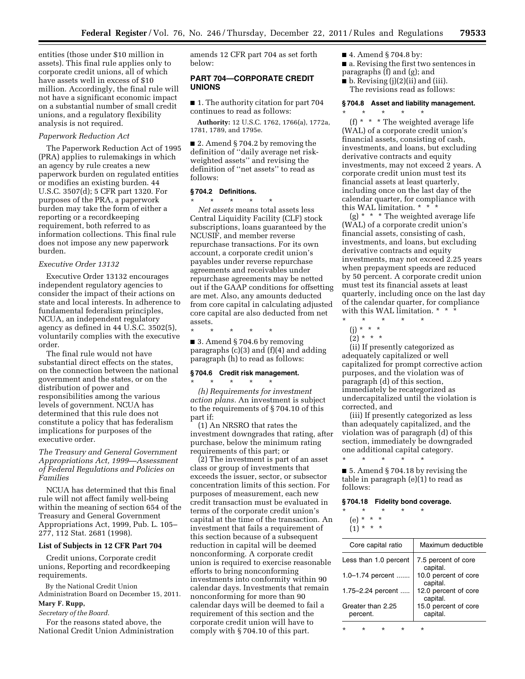entities (those under \$10 million in assets). This final rule applies only to corporate credit unions, all of which have assets well in excess of \$10 million. Accordingly, the final rule will not have a significant economic impact on a substantial number of small credit unions, and a regulatory flexibility analysis is not required.

## *Paperwork Reduction Act*

The Paperwork Reduction Act of 1995 (PRA) applies to rulemakings in which an agency by rule creates a new paperwork burden on regulated entities or modifies an existing burden. 44 U.S.C. 3507(d); 5 CFR part 1320. For purposes of the PRA, a paperwork burden may take the form of either a reporting or a recordkeeping requirement, both referred to as information collections. This final rule does not impose any new paperwork burden.

### *Executive Order 13132*

Executive Order 13132 encourages independent regulatory agencies to consider the impact of their actions on state and local interests. In adherence to fundamental federalism principles, NCUA, an independent regulatory agency as defined in 44 U.S.C. 3502(5), voluntarily complies with the executive order.

The final rule would not have substantial direct effects on the states, on the connection between the national government and the states, or on the distribution of power and responsibilities among the various levels of government. NCUA has determined that this rule does not constitute a policy that has federalism implications for purposes of the executive order.

*The Treasury and General Government Appropriations Act, 1999—Assessment of Federal Regulations and Policies on Families* 

NCUA has determined that this final rule will not affect family well-being within the meaning of section 654 of the Treasury and General Government Appropriations Act, 1999, Pub. L. 105– 277, 112 Stat. 2681 (1998).

## **List of Subjects in 12 CFR Part 704**

Credit unions, Corporate credit unions, Reporting and recordkeeping requirements.

By the National Credit Union Administration Board on December 15, 2011.

# **Mary F. Rupp,**

# *Secretary of the Board.*

For the reasons stated above, the National Credit Union Administration amends 12 CFR part 704 as set forth below:

# **PART 704—CORPORATE CREDIT UNIONS**

■ 1. The authority citation for part 704 continues to read as follows:

**Authority:** 12 U.S.C. 1762, 1766(a), 1772a, 1781, 1789, and 1795e.

■ 2. Amend § 704.2 by removing the definition of ''daily average net riskweighted assets'' and revising the definition of ''net assets'' to read as follows:

## **§ 704.2 Definitions.**

\* \* \* \* \* *Net assets* means total assets less Central Liquidity Facility (CLF) stock subscriptions, loans guaranteed by the NCUSIF, and member reverse repurchase transactions. For its own account, a corporate credit union's payables under reverse repurchase agreements and receivables under repurchase agreements may be netted out if the GAAP conditions for offsetting are met. Also, any amounts deducted from core capital in calculating adjusted core capital are also deducted from net assets.

\* \* \* \* \*

■ 3. Amend § 704.6 by removing paragraphs  $(c)(3)$  and  $(f)(4)$  and adding paragraph (h) to read as follows:

#### **§ 704.6 Credit risk management.**  \* \* \* \* \*

*(h) Requirements for investment action plans.* An investment is subject to the requirements of § 704.10 of this part if:

(1) An NRSRO that rates the investment downgrades that rating, after purchase, below the minimum rating requirements of this part; or

(2) The investment is part of an asset class or group of investments that exceeds the issuer, sector, or subsector concentration limits of this section. For purposes of measurement, each new credit transaction must be evaluated in terms of the corporate credit union's capital at the time of the transaction. An investment that fails a requirement of this section because of a subsequent reduction in capital will be deemed nonconforming. A corporate credit union is required to exercise reasonable efforts to bring nonconforming investments into conformity within 90 calendar days. Investments that remain nonconforming for more than 90 calendar days will be deemed to fail a requirement of this section and the corporate credit union will have to comply with § 704.10 of this part.

■ 4. Amend § 704.8 by:

\* \* \* \* \*

- a. Revising the first two sentences in
- paragraphs (f) and (g); and
- $\blacksquare$  b. Revising (j)(2)(ii) and (iii). The revisions read as follows:

### **§ 704.8 Asset and liability management.**

(f) \* \* \* The weighted average life (WAL) of a corporate credit union's financial assets, consisting of cash, investments, and loans, but excluding derivative contracts and equity investments, may not exceed 2 years. A corporate credit union must test its financial assets at least quarterly, including once on the last day of the calendar quarter, for compliance with this WAL limitation. \* \* \*

(g) \* \* \* The weighted average life (WAL) of a corporate credit union's financial assets, consisting of cash, investments, and loans, but excluding derivative contracts and equity investments, may not exceed 2.25 years when prepayment speeds are reduced by 50 percent. A corporate credit union must test its financial assets at least quarterly, including once on the last day of the calendar quarter, for compliance with this WAL limitation. \* \*

- \* \* \* \* \* (j) \* \* \*
- $(2) * * * *$
- 

(ii) If presently categorized as adequately capitalized or well capitalized for prompt corrective action purposes, and the violation was of paragraph (d) of this section, immediately be recategorized as undercapitalized until the violation is corrected, and

(iii) If presently categorized as less than adequately capitalized, and the violation was of paragraph (d) of this section, immediately be downgraded one additional capital category.

■ 5. Amend § 704.18 by revising the table in paragraph (e)(1) to read as follows:

### **§ 704.18 Fidelity bond coverage.**

\* \* \* \* \*

\* \* \* \* \* (e) \* \* \*

 $(1) * * * *$ 

| Core capital ratio            | Maximum deductible               |
|-------------------------------|----------------------------------|
| Less than 1.0 percent         | 7.5 percent of core<br>capital.  |
| 1.0–1.74 percent              | 10.0 percent of core<br>capital. |
| 1.75-2.24 percent             | 12.0 percent of core<br>capital. |
| Greater than 2.25<br>percent. | 15.0 percent of core<br>capital. |
|                               |                                  |

\* \* \* \* \*